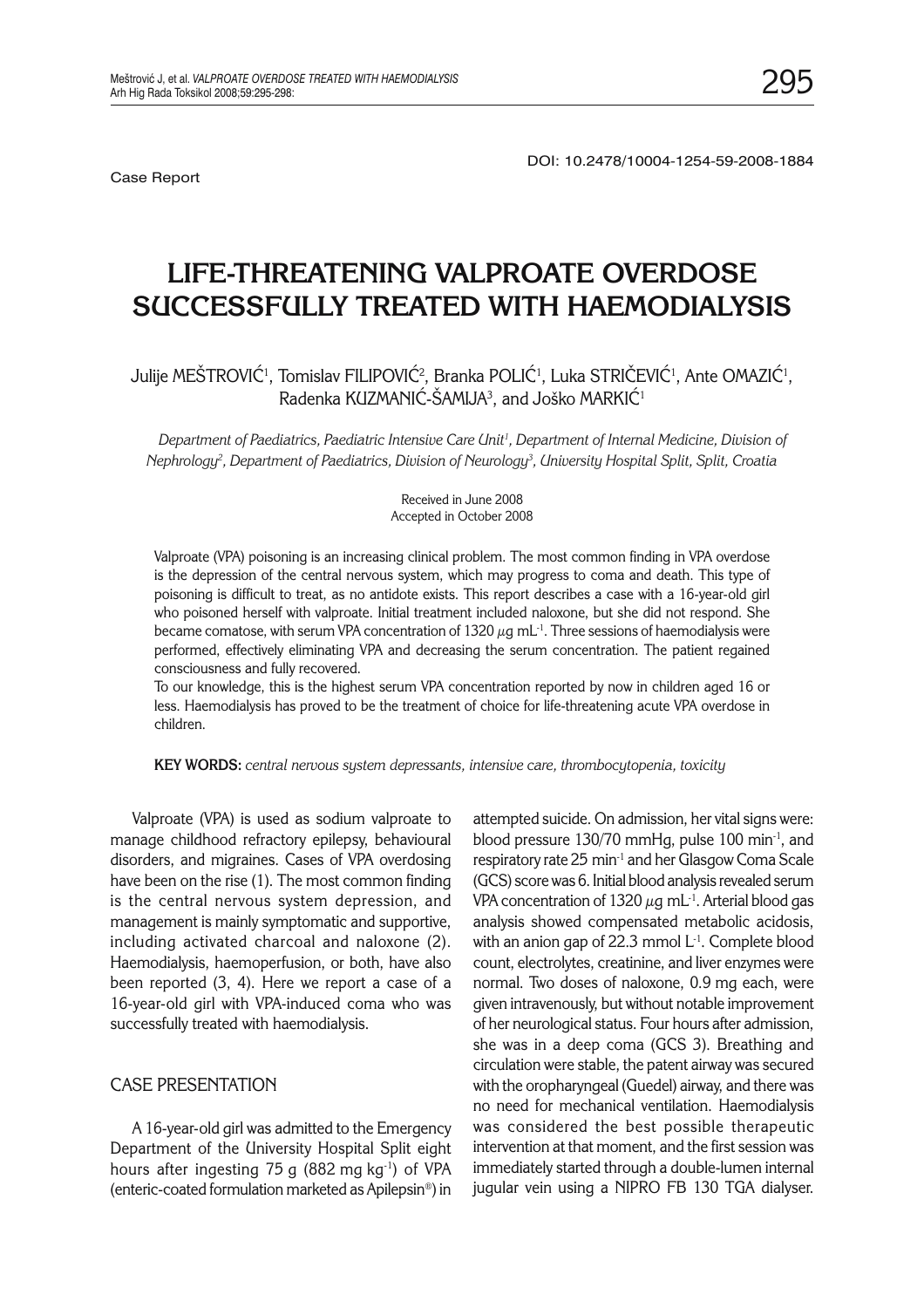Case Report

# **LIFE-THREATENING VALPROATE OVERDOSE SUCCESSFULLY TREATED WITH HAEMODIALYSIS**

Julije MESTROVIC<sup>1</sup>, Tomislav FILIPOVIC<sup>2</sup>, Branka POLIC<sup>1</sup>, Luka STRICEVIC<sup>1</sup>, Ante OMAZIC<sup>1</sup>,  $\mathsf R$ adenka KUZMANIC-SAMIJA $^3$ , and Joško MARKIC $^1$ 

*Department of Paediatrics, Paediatric Intensive Care Unit1 , Department of Internal Medicine, Division of Nephrology2 , Department of Paediatrics, Division of Neurology3 , University Hospital Split, Split, Croatia*

> Received in June 2008 Accepted in October 2008

Valproate (VPA) poisoning is an increasing clinical problem. The most common finding in VPA overdose is the depression of the central nervous system, which may progress to coma and death. This type of poisoning is difficult to treat, as no antidote exists. This report describes a case with a 16-year-old girl who poisoned herself with valproate. Initial treatment included naloxone, but she did not respond. She became comatose, with serum VPA concentration of 1320  $\mu$ g mL<sup>-1</sup>. Three sessions of haemodialysis were performed, effectively eliminating VPA and decreasing the serum concentration. The patient regained consciousness and fully recovered.

To our knowledge, this is the highest serum VPA concentration reported by now in children aged 16 or less. Haemodialysis has proved to be the treatment of choice for life-threatening acute VPA overdose in children.

**KEY WORDS:** *central nervous system depressants, intensive care, thrombocytopenia, toxicity*

Valproate (VPA) is used as sodium valproate to manage childhood refractory epilepsy, behavioural disorders, and migraines. Cases of VPA overdosing have been on the rise (1). The most common finding is the central nervous system depression, and management is mainly symptomatic and supportive, including activated charcoal and naloxone (2). Haemodialysis, haemoperfusion, or both, have also been reported (3, 4). Here we report a case of a 16-year-old girl with VPA-induced coma who was successfully treated with haemodialysis.

#### CASE PRESENTATION

A 16-year-old girl was admitted to the Emergency Department of the University Hospital Split eight hours after ingesting 75 g (882 mg  $kg^{-1}$ ) of VPA (enteric-coated formulation marketed as Apilepsin®) in

attempted suicide. On admission, her vital signs were: blood pressure 130/70 mmHg, pulse 100 min<sup>-1</sup>, and respiratory rate 25 min-1 and her Glasgow Coma Scale (GCS) score was 6. Initial blood analysis revealed serum VPA concentration of 1320  $\mu$ g mL<sup>-1</sup>. Arterial blood gas analysis showed compensated metabolic acidosis, with an anion gap of 22.3 mmol L<sup>-1</sup>. Complete blood count, electrolytes, creatinine, and liver enzymes were normal. Two doses of naloxone, 0.9 mg each, were given intravenously, but without notable improvement of her neurological status. Four hours after admission, she was in a deep coma (GCS 3). Breathing and circulation were stable, the patent airway was secured with the oropharyngeal (Guedel) airway, and there was no need for mechanical ventilation. Haemodialysis was considered the best possible therapeutic intervention at that moment, and the first session was immediately started through a double-lumen internal jugular vein using a NIPRO FB 130 TGA dialyser.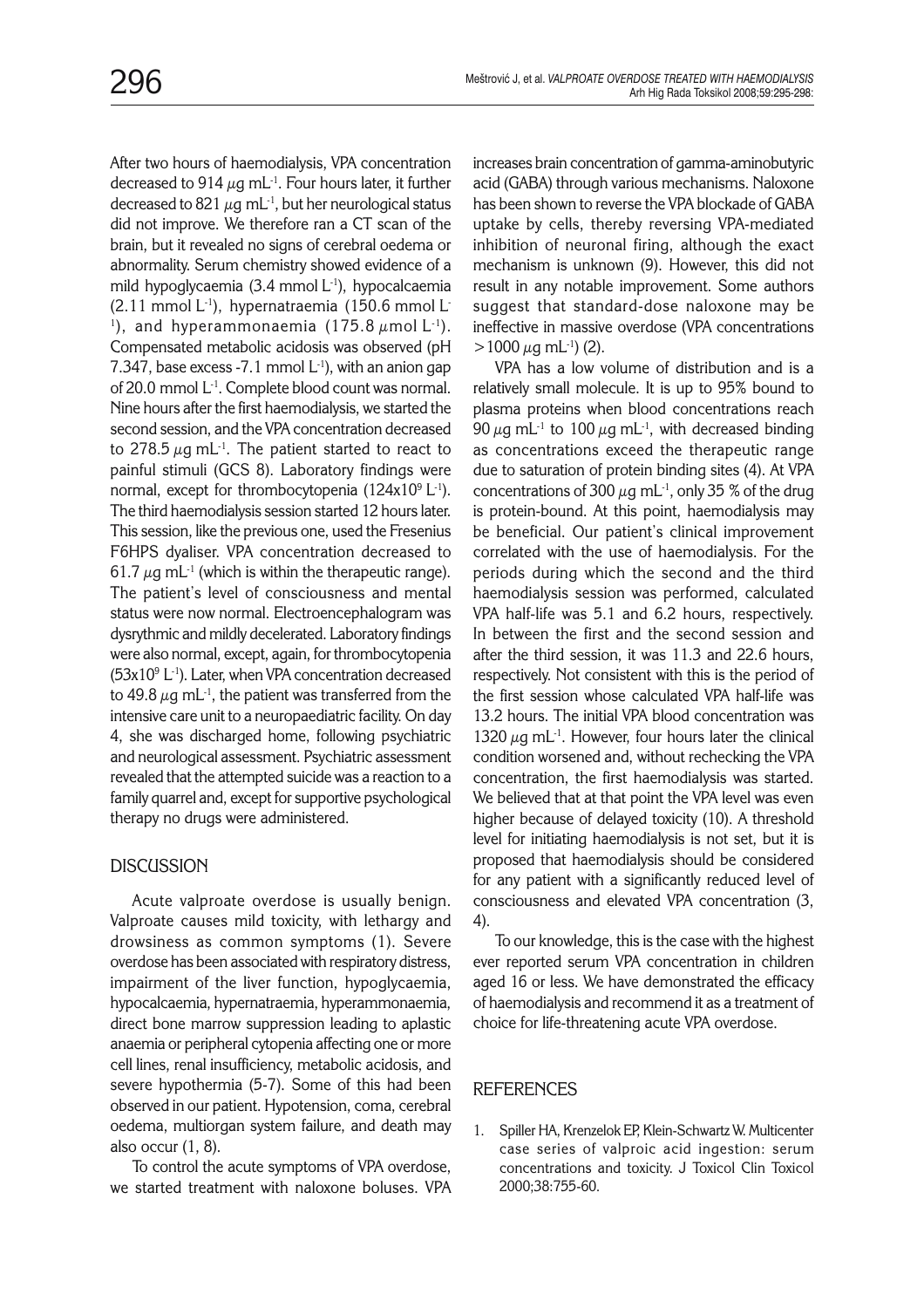After two hours of haemodialysis, VPA concentration decreased to 914  $\mu$ g mL<sup>-1</sup>. Four hours later, it further decreased to 821  $\mu$ g mL<sup>-1</sup>, but her neurological status did not improve. We therefore ran a CT scan of the brain, but it revealed no signs of cerebral oedema or abnormality. Serum chemistry showed evidence of a mild hypoglycaemia (3.4 mmol L<sup>-1</sup>), hypocalcaemia  $(2.11 \text{ mmol L}^{-1})$ , hypernatraemia  $(150.6 \text{ mmol L}^{-1})$ <sup>1</sup>), and hyperammonaemia (175.8  $\mu$ mol L<sup>-1</sup>). Compensated metabolic acidosis was observed (pH 7.347, base excess -7.1 mmol  $L^{-1}$ ), with an anion gap of 20.0 mmol L<sup>-1</sup>. Complete blood count was normal. Nine hours after the first haemodialysis, we started the second session, and the VPA concentration decreased to 278.5  $\mu$ g mL<sup>-1</sup>. The patient started to react to painful stimuli (GCS 8). Laboratory findings were normal, except for thrombocytopenia (124x10 $^9$  L $^{\text{-}1}$ ). The third haemodialysis session started 12 hours later. This session, like the previous one, used the Fresenius F6HPS dyaliser. VPA concentration decreased to 61.7  $\mu$ g mL<sup>-1</sup> (which is within the therapeutic range). The patient's level of consciousness and mental status were now normal. Electroencephalogram was dysrythmic and mildly decelerated. Laboratory findings were also normal, except, again, for thrombocytopenia  $(53x10<sup>9</sup> L<sup>-1</sup>)$ . Later, when VPA concentration decreased to 49.8  $\mu$ g mL<sup>-1</sup>, the patient was transferred from the intensive care unit to a neuropaediatric facility. On day 4, she was discharged home, following psychiatric and neurological assessment. Psychiatric assessment revealed that the attempted suicide was a reaction to a family quarrel and, except for supportive psychological therapy no drugs were administered.

## **DISCUSSION**

Acute valproate overdose is usually benign. Valproate causes mild toxicity, with lethargy and drowsiness as common symptoms (1). Severe overdose has been associated with respiratory distress, impairment of the liver function, hypoglycaemia, hypocalcaemia, hypernatraemia, hyperammonaemia, direct bone marrow suppression leading to aplastic anaemia or peripheral cytopenia affecting one or more cell lines, renal insufficiency, metabolic acidosis, and severe hypothermia (5-7). Some of this had been observed in our patient. Hypotension, coma, cerebral oedema, multiorgan system failure, and death may also occur (1, 8).

To control the acute symptoms of VPA overdose, we started treatment with naloxone boluses. VPA increases brain concentration of gamma-aminobutyric acid (GABA) through various mechanisms. Naloxone has been shown to reverse the VPA blockade of GABA uptake by cells, thereby reversing VPA-mediated inhibition of neuronal firing, although the exact mechanism is unknown (9). However, this did not result in any notable improvement. Some authors suggest that standard-dose naloxone may be ineffective in massive overdose (VPA concentrations  $>1000 \mu$ g mL<sup>-1</sup>) (2).

VPA has a low volume of distribution and is a relatively small molecule. It is up to 95% bound to plasma proteins when blood concentrations reach 90  $\mu$ g mL<sup>-1</sup> to 100  $\mu$ g mL<sup>-1</sup>, with decreased binding as concentrations exceed the therapeutic range due to saturation of protein binding sites (4). At VPA concentrations of 300  $\mu$ g mL<sup>-1</sup>, only 35 % of the drug is protein-bound. At this point, haemodialysis may be beneficial. Our patient's clinical improvement correlated with the use of haemodialysis. For the periods during which the second and the third haemodialysis session was performed, calculated VPA half-life was 5.1 and 6.2 hours, respectively. In between the first and the second session and after the third session, it was 11.3 and 22.6 hours, respectively. Not consistent with this is the period of the first session whose calculated VPA half-life was 13.2 hours. The initial VPA blood concentration was 1320  $\mu$ g mL<sup>-1</sup>. However, four hours later the clinical condition worsened and, without rechecking the VPA concentration, the first haemodialysis was started. We believed that at that point the VPA level was even higher because of delayed toxicity (10). A threshold level for initiating haemodialysis is not set, but it is proposed that haemodialysis should be considered for any patient with a significantly reduced level of consciousness and elevated VPA concentration (3, 4).

To our knowledge, this is the case with the highest ever reported serum VPA concentration in children aged 16 or less. We have demonstrated the efficacy of haemodialysis and recommend it as a treatment of choice for life-threatening acute VPA overdose.

## **REFERENCES**

1. Spiller HA, Krenzelok EP, Klein-Schwartz W. Multicenter case series of valproic acid ingestion: serum concentrations and toxicity. J Toxicol Clin Toxicol 2000;38:755-60.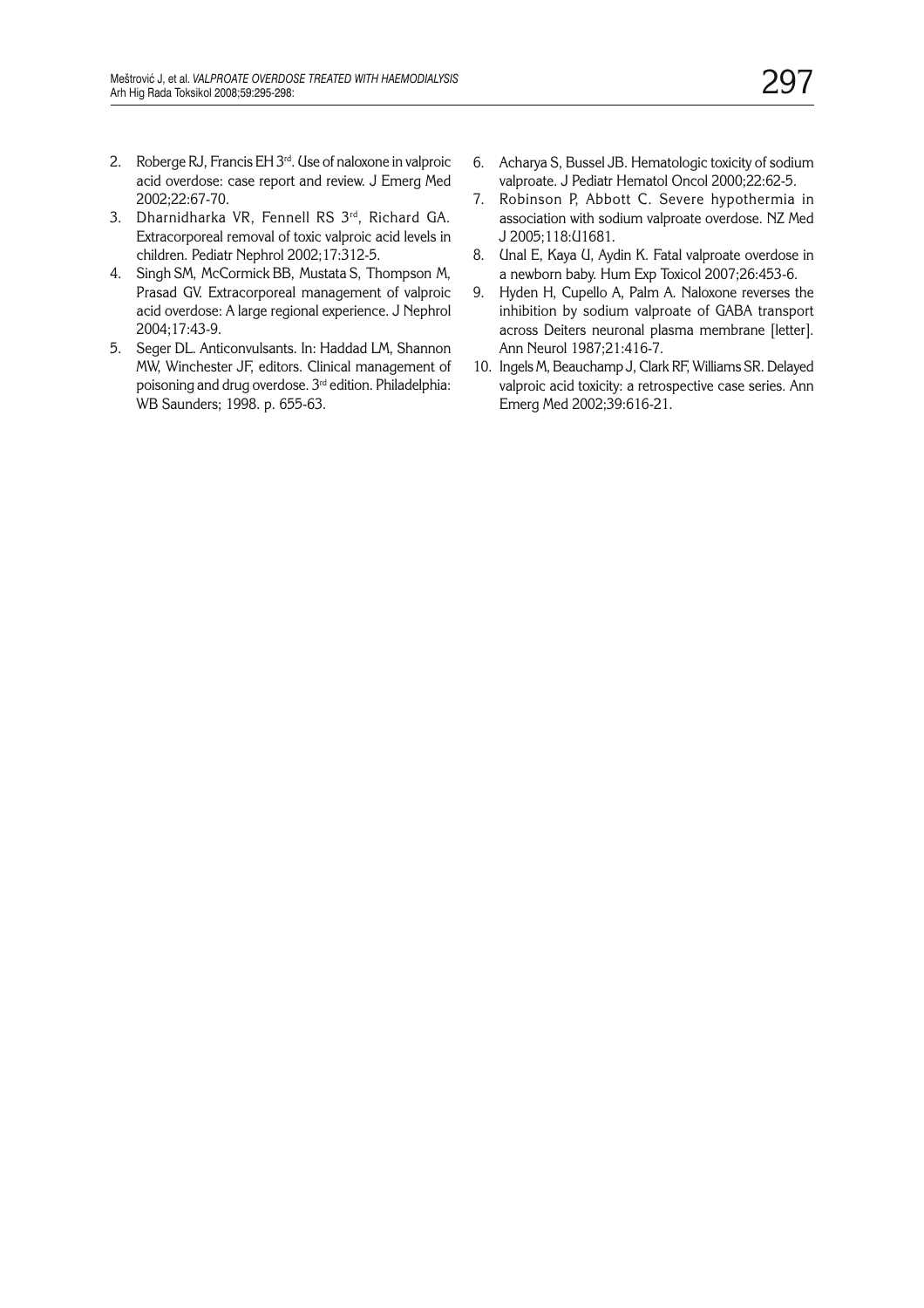- 2. Roberge RJ, Francis EH 3<sup>rd</sup>. Use of naloxone in valproic acid overdose: case report and review. J Emerg Med 2002;22:67-70.
- 3. Dharnidharka VR, Fennell RS 3rd, Richard GA. Extracorporeal removal of toxic valproic acid levels in children. Pediatr Nephrol 2002;17:312-5.
- 4. Singh SM, McCormick BB, Mustata S, Thompson M, Prasad GV. Extracorporeal management of valproic acid overdose: A large regional experience. J Nephrol 2004;17:43-9.
- 5. Seger DL. Anticonvulsants. In: Haddad LM, Shannon MW, Winchester JF, editors. Clinical management of poisoning and drug overdose. 3rd edition. Philadelphia: WB Saunders; 1998. p. 655-63.
- 6. Acharya S, Bussel JB. Hematologic toxicity of sodium valproate. J Pediatr Hematol Oncol 2000;22:62-5.
- 7. Robinson P, Abbott C. Severe hypothermia in association with sodium valproate overdose. NZ Med J 2005;118:U1681.
- 8. Unal E, Kaya U, Aydin K. Fatal valproate overdose in a newborn baby. Hum Exp Toxicol 2007;26:453-6.
- 9. Hyden H, Cupello A, Palm A. Naloxone reverses the inhibition by sodium valproate of GABA transport across Deiters neuronal plasma membrane [letter]. Ann Neurol 1987;21:416-7.
- 10. Ingels M, Beauchamp J, Clark RF, Williams SR. Delayed valproic acid toxicity: a retrospective case series. Ann Emerg Med 2002;39:616-21.